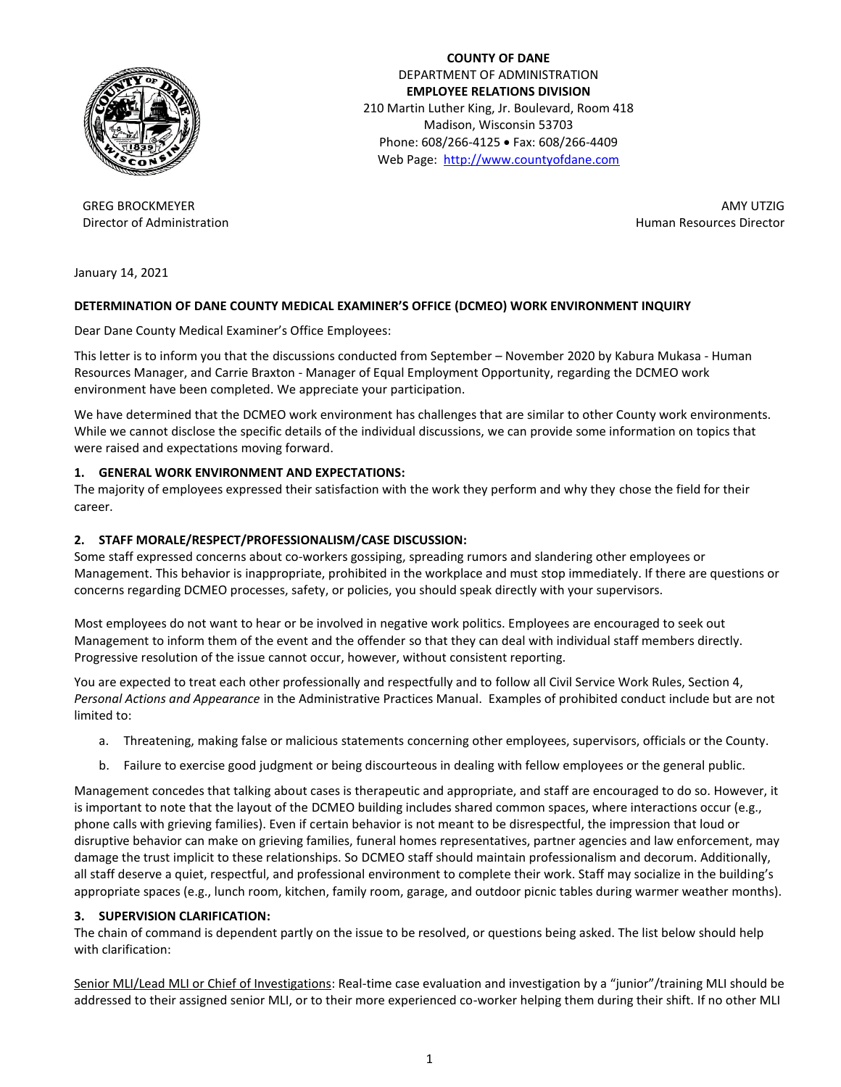

 **COUNTY OF DANE** DEPARTMENT OF ADMINISTRATION **EMPLOYEE RELATIONS DIVISION** 210 Martin Luther King, Jr. Boulevard, Room 418 Madison, Wisconsin 53703 Phone: 608/266-4125 · Fax: 608/266-4409 Web Page: [http://www.countyofdane.com](http://www.countyofdane.com/)

GREG BROCKMEYER Director of Administration

 AMY UTZIG Human Resources Director

January 14, 2021

### **DETERMINATION OF DANE COUNTY MEDICAL EXAMINER'S OFFICE (DCMEO) WORK ENVIRONMENT INQUIRY**

Dear Dane County Medical Examiner's Office Employees:

This letter is to inform you that the discussions conducted from September – November 2020 by Kabura Mukasa - Human Resources Manager, and Carrie Braxton - Manager of Equal Employment Opportunity, regarding the DCMEO work environment have been completed. We appreciate your participation.

We have determined that the DCMEO work environment has challenges that are similar to other County work environments. While we cannot disclose the specific details of the individual discussions, we can provide some information on topics that were raised and expectations moving forward.

#### **1. GENERAL WORK ENVIRONMENT AND EXPECTATIONS:**

The majority of employees expressed their satisfaction with the work they perform and why they chose the field for their career.

#### **2. STAFF MORALE/RESPECT/PROFESSIONALISM/CASE DISCUSSION:**

Some staff expressed concerns about co-workers gossiping, spreading rumors and slandering other employees or Management. This behavior is inappropriate, prohibited in the workplace and must stop immediately. If there are questions or concerns regarding DCMEO processes, safety, or policies, you should speak directly with your supervisors.

Most employees do not want to hear or be involved in negative work politics. Employees are encouraged to seek out Management to inform them of the event and the offender so that they can deal with individual staff members directly. Progressive resolution of the issue cannot occur, however, without consistent reporting.

You are expected to treat each other professionally and respectfully and to follow all Civil Service Work Rules, Section 4, *Personal Actions and Appearance* in the Administrative Practices Manual. Examples of prohibited conduct include but are not limited to:

- a. Threatening, making false or malicious statements concerning other employees, supervisors, officials or the County.
- b. Failure to exercise good judgment or being discourteous in dealing with fellow employees or the general public.

Management concedes that talking about cases is therapeutic and appropriate, and staff are encouraged to do so. However, it is important to note that the layout of the DCMEO building includes shared common spaces, where interactions occur (e.g., phone calls with grieving families). Even if certain behavior is not meant to be disrespectful, the impression that loud or disruptive behavior can make on grieving families, funeral homes representatives, partner agencies and law enforcement, may damage the trust implicit to these relationships. So DCMEO staff should maintain professionalism and decorum. Additionally, all staff deserve a quiet, respectful, and professional environment to complete their work. Staff may socialize in the building's appropriate spaces (e.g., lunch room, kitchen, family room, garage, and outdoor picnic tables during warmer weather months).

#### **3. SUPERVISION CLARIFICATION:**

The chain of command is dependent partly on the issue to be resolved, or questions being asked. The list below should help with clarification:

Senior MLI/Lead MLI or Chief of Investigations: Real-time case evaluation and investigation by a "junior"/training MLI should be addressed to their assigned senior MLI, or to their more experienced co-worker helping them during their shift. If no other MLI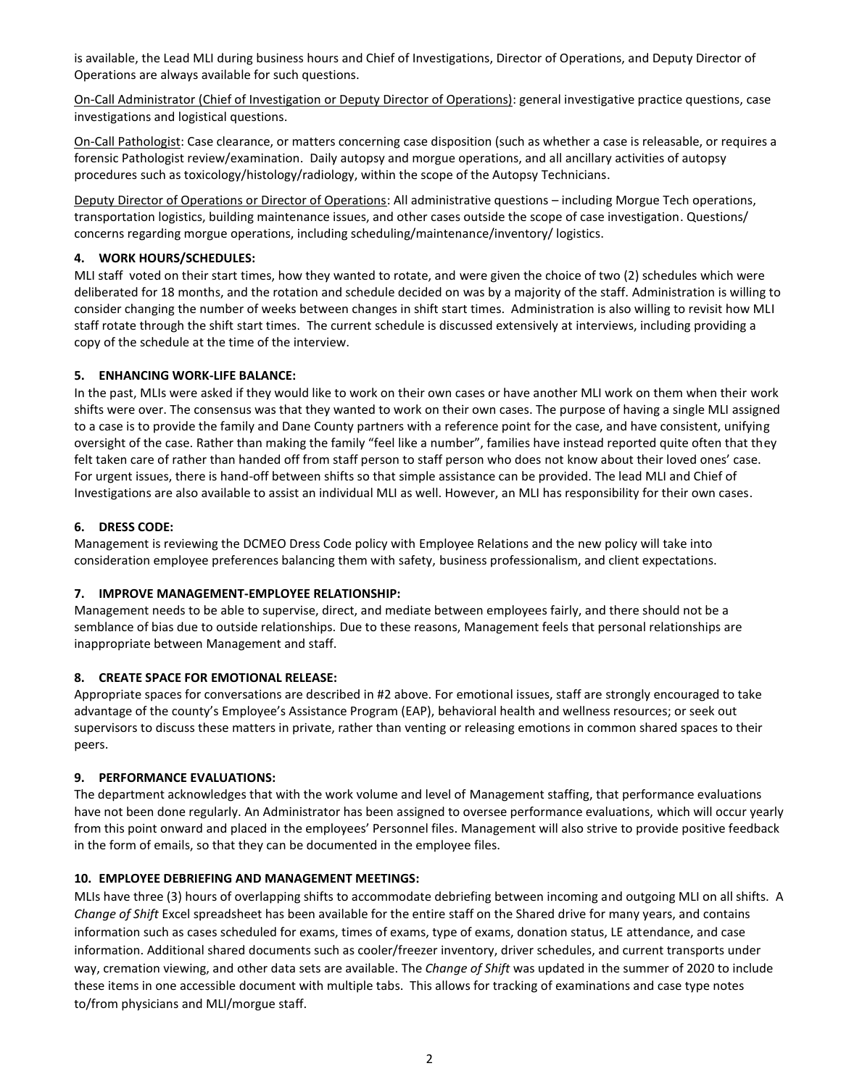is available, the Lead MLI during business hours and Chief of Investigations, Director of Operations, and Deputy Director of Operations are always available for such questions.

On-Call Administrator (Chief of Investigation or Deputy Director of Operations): general investigative practice questions, case investigations and logistical questions.

On-Call Pathologist: Case clearance, or matters concerning case disposition (such as whether a case is releasable, or requires a forensic Pathologist review/examination. Daily autopsy and morgue operations, and all ancillary activities of autopsy procedures such as toxicology/histology/radiology, within the scope of the Autopsy Technicians.

Deputy Director of Operations or Director of Operations: All administrative questions – including Morgue Tech operations, transportation logistics, building maintenance issues, and other cases outside the scope of case investigation. Questions/ concerns regarding morgue operations, including scheduling/maintenance/inventory/ logistics.

### **4. WORK HOURS/SCHEDULES:**

MLI staff voted on their start times, how they wanted to rotate, and were given the choice of two (2) schedules which were deliberated for 18 months, and the rotation and schedule decided on was by a majority of the staff. Administration is willing to consider changing the number of weeks between changes in shift start times. Administration is also willing to revisit how MLI staff rotate through the shift start times. The current schedule is discussed extensively at interviews, including providing a copy of the schedule at the time of the interview.

## **5. ENHANCING WORK-LIFE BALANCE:**

In the past, MLIs were asked if they would like to work on their own cases or have another MLI work on them when their work shifts were over. The consensus was that they wanted to work on their own cases. The purpose of having a single MLI assigned to a case is to provide the family and Dane County partners with a reference point for the case, and have consistent, unifying oversight of the case. Rather than making the family "feel like a number", families have instead reported quite often that they felt taken care of rather than handed off from staff person to staff person who does not know about their loved ones' case. For urgent issues, there is hand-off between shifts so that simple assistance can be provided. The lead MLI and Chief of Investigations are also available to assist an individual MLI as well. However, an MLI has responsibility for their own cases.

## **6. DRESS CODE:**

Management is reviewing the DCMEO Dress Code policy with Employee Relations and the new policy will take into consideration employee preferences balancing them with safety, business professionalism, and client expectations.

### **7. IMPROVE MANAGEMENT-EMPLOYEE RELATIONSHIP:**

Management needs to be able to supervise, direct, and mediate between employees fairly, and there should not be a semblance of bias due to outside relationships. Due to these reasons, Management feels that personal relationships are inappropriate between Management and staff.

### **8. CREATE SPACE FOR EMOTIONAL RELEASE:**

Appropriate spaces for conversations are described in #2 above. For emotional issues, staff are strongly encouraged to take advantage of the county's Employee's Assistance Program (EAP), behavioral health and wellness resources; or seek out supervisors to discuss these matters in private, rather than venting or releasing emotions in common shared spaces to their peers.

### **9. PERFORMANCE EVALUATIONS:**

The department acknowledges that with the work volume and level of Management staffing, that performance evaluations have not been done regularly. An Administrator has been assigned to oversee performance evaluations, which will occur yearly from this point onward and placed in the employees' Personnel files. Management will also strive to provide positive feedback in the form of emails, so that they can be documented in the employee files.

### **10. EMPLOYEE DEBRIEFING AND MANAGEMENT MEETINGS:**

MLIs have three (3) hours of overlapping shifts to accommodate debriefing between incoming and outgoing MLI on all shifts. A *Change of Shift* Excel spreadsheet has been available for the entire staff on the Shared drive for many years, and contains information such as cases scheduled for exams, times of exams, type of exams, donation status, LE attendance, and case information. Additional shared documents such as cooler/freezer inventory, driver schedules, and current transports under way, cremation viewing, and other data sets are available. The *Change of Shift* was updated in the summer of 2020 to include these items in one accessible document with multiple tabs. This allows for tracking of examinations and case type notes to/from physicians and MLI/morgue staff.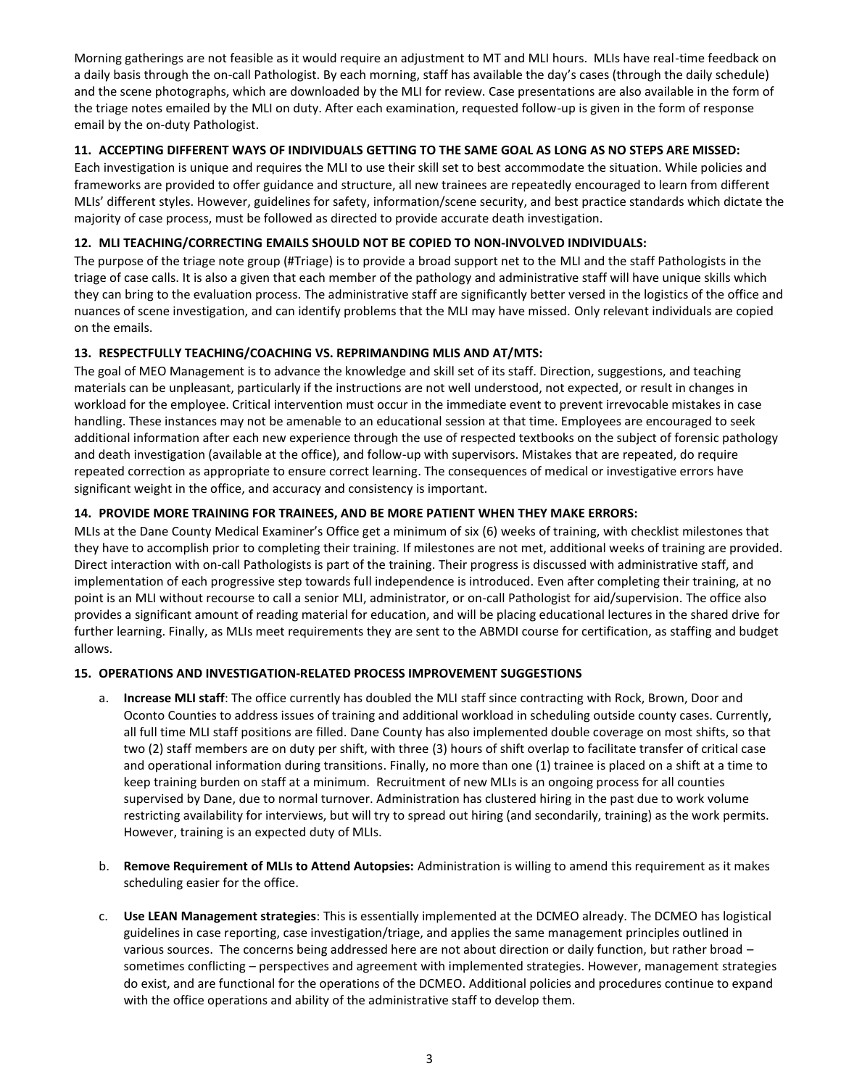Morning gatherings are not feasible as it would require an adjustment to MT and MLI hours. MLIs have real-time feedback on a daily basis through the on-call Pathologist. By each morning, staff has available the day's cases (through the daily schedule) and the scene photographs, which are downloaded by the MLI for review. Case presentations are also available in the form of the triage notes emailed by the MLI on duty. After each examination, requested follow-up is given in the form of response email by the on-duty Pathologist.

### **11. ACCEPTING DIFFERENT WAYS OF INDIVIDUALS GETTING TO THE SAME GOAL AS LONG AS NO STEPS ARE MISSED:**

Each investigation is unique and requires the MLI to use their skill set to best accommodate the situation. While policies and frameworks are provided to offer guidance and structure, all new trainees are repeatedly encouraged to learn from different MLIs' different styles. However, guidelines for safety, information/scene security, and best practice standards which dictate the majority of case process, must be followed as directed to provide accurate death investigation.

# **12. MLI TEACHING/CORRECTING EMAILS SHOULD NOT BE COPIED TO NON-INVOLVED INDIVIDUALS:**

The purpose of the triage note group (#Triage) is to provide a broad support net to the MLI and the staff Pathologists in the triage of case calls. It is also a given that each member of the pathology and administrative staff will have unique skills which they can bring to the evaluation process. The administrative staff are significantly better versed in the logistics of the office and nuances of scene investigation, and can identify problems that the MLI may have missed. Only relevant individuals are copied on the emails.

## **13. RESPECTFULLY TEACHING/COACHING VS. REPRIMANDING MLIS AND AT/MTS:**

The goal of MEO Management is to advance the knowledge and skill set of its staff. Direction, suggestions, and teaching materials can be unpleasant, particularly if the instructions are not well understood, not expected, or result in changes in workload for the employee. Critical intervention must occur in the immediate event to prevent irrevocable mistakes in case handling. These instances may not be amenable to an educational session at that time. Employees are encouraged to seek additional information after each new experience through the use of respected textbooks on the subject of forensic pathology and death investigation (available at the office), and follow-up with supervisors. Mistakes that are repeated, do require repeated correction as appropriate to ensure correct learning. The consequences of medical or investigative errors have significant weight in the office, and accuracy and consistency is important.

## **14. PROVIDE MORE TRAINING FOR TRAINEES, AND BE MORE PATIENT WHEN THEY MAKE ERRORS:**

MLIs at the Dane County Medical Examiner's Office get a minimum of six (6) weeks of training, with checklist milestones that they have to accomplish prior to completing their training. If milestones are not met, additional weeks of training are provided. Direct interaction with on-call Pathologists is part of the training. Their progress is discussed with administrative staff, and implementation of each progressive step towards full independence is introduced. Even after completing their training, at no point is an MLI without recourse to call a senior MLI, administrator, or on-call Pathologist for aid/supervision. The office also provides a significant amount of reading material for education, and will be placing educational lectures in the shared drive for further learning. Finally, as MLIs meet requirements they are sent to the ABMDI course for certification, as staffing and budget allows.

### **15. OPERATIONS AND INVESTIGATION-RELATED PROCESS IMPROVEMENT SUGGESTIONS**

- a. **Increase MLI staff**: The office currently has doubled the MLI staff since contracting with Rock, Brown, Door and Oconto Counties to address issues of training and additional workload in scheduling outside county cases. Currently, all full time MLI staff positions are filled. Dane County has also implemented double coverage on most shifts, so that two (2) staff members are on duty per shift, with three (3) hours of shift overlap to facilitate transfer of critical case and operational information during transitions. Finally, no more than one (1) trainee is placed on a shift at a time to keep training burden on staff at a minimum. Recruitment of new MLIs is an ongoing process for all counties supervised by Dane, due to normal turnover. Administration has clustered hiring in the past due to work volume restricting availability for interviews, but will try to spread out hiring (and secondarily, training) as the work permits. However, training is an expected duty of MLIs.
- b. **Remove Requirement of MLIs to Attend Autopsies:** Administration is willing to amend this requirement as it makes scheduling easier for the office.
- c. **Use LEAN Management strategies**: This is essentially implemented at the DCMEO already. The DCMEO has logistical guidelines in case reporting, case investigation/triage, and applies the same management principles outlined in various sources. The concerns being addressed here are not about direction or daily function, but rather broad – sometimes conflicting – perspectives and agreement with implemented strategies. However, management strategies do exist, and are functional for the operations of the DCMEO. Additional policies and procedures continue to expand with the office operations and ability of the administrative staff to develop them.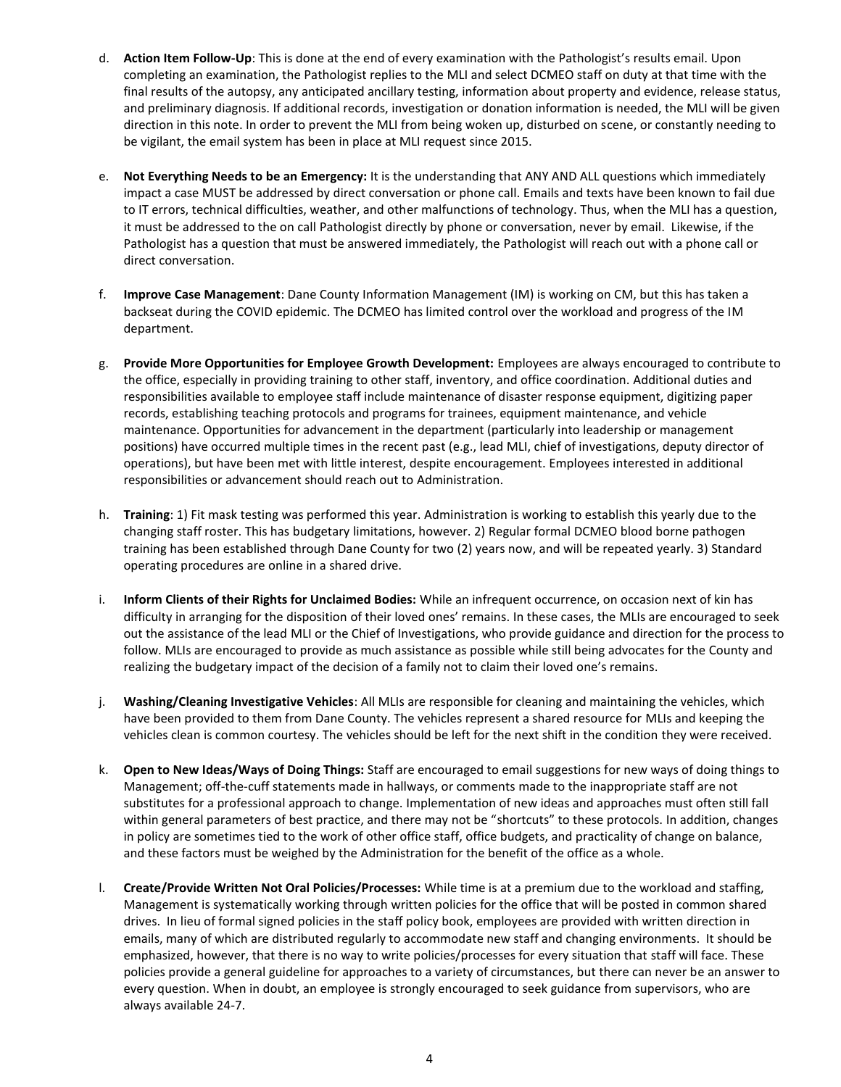- d. **Action Item Follow-Up**: This is done at the end of every examination with the Pathologist's results email. Upon completing an examination, the Pathologist replies to the MLI and select DCMEO staff on duty at that time with the final results of the autopsy, any anticipated ancillary testing, information about property and evidence, release status, and preliminary diagnosis. If additional records, investigation or donation information is needed, the MLI will be given direction in this note. In order to prevent the MLI from being woken up, disturbed on scene, or constantly needing to be vigilant, the email system has been in place at MLI request since 2015.
- e. **Not Everything Needs to be an Emergency:** It is the understanding that ANY AND ALL questions which immediately impact a case MUST be addressed by direct conversation or phone call. Emails and texts have been known to fail due to IT errors, technical difficulties, weather, and other malfunctions of technology. Thus, when the MLI has a question, it must be addressed to the on call Pathologist directly by phone or conversation, never by email. Likewise, if the Pathologist has a question that must be answered immediately, the Pathologist will reach out with a phone call or direct conversation.
- f. **Improve Case Management**: Dane County Information Management (IM) is working on CM, but this has taken a backseat during the COVID epidemic. The DCMEO has limited control over the workload and progress of the IM department.
- g. **Provide More Opportunities for Employee Growth Development:** Employees are always encouraged to contribute to the office, especially in providing training to other staff, inventory, and office coordination. Additional duties and responsibilities available to employee staff include maintenance of disaster response equipment, digitizing paper records, establishing teaching protocols and programs for trainees, equipment maintenance, and vehicle maintenance. Opportunities for advancement in the department (particularly into leadership or management positions) have occurred multiple times in the recent past (e.g., lead MLI, chief of investigations, deputy director of operations), but have been met with little interest, despite encouragement. Employees interested in additional responsibilities or advancement should reach out to Administration.
- h. **Training**: 1) Fit mask testing was performed this year. Administration is working to establish this yearly due to the changing staff roster. This has budgetary limitations, however. 2) Regular formal DCMEO blood borne pathogen training has been established through Dane County for two (2) years now, and will be repeated yearly. 3) Standard operating procedures are online in a shared drive.
- i. **Inform Clients of their Rights for Unclaimed Bodies:** While an infrequent occurrence, on occasion next of kin has difficulty in arranging for the disposition of their loved ones' remains. In these cases, the MLIs are encouraged to seek out the assistance of the lead MLI or the Chief of Investigations, who provide guidance and direction for the process to follow. MLIs are encouraged to provide as much assistance as possible while still being advocates for the County and realizing the budgetary impact of the decision of a family not to claim their loved one's remains.
- j. **Washing/Cleaning Investigative Vehicles**: All MLIs are responsible for cleaning and maintaining the vehicles, which have been provided to them from Dane County. The vehicles represent a shared resource for MLIs and keeping the vehicles clean is common courtesy. The vehicles should be left for the next shift in the condition they were received.
- k. **Open to New Ideas/Ways of Doing Things:** Staff are encouraged to email suggestions for new ways of doing things to Management; off-the-cuff statements made in hallways, or comments made to the inappropriate staff are not substitutes for a professional approach to change. Implementation of new ideas and approaches must often still fall within general parameters of best practice, and there may not be "shortcuts" to these protocols. In addition, changes in policy are sometimes tied to the work of other office staff, office budgets, and practicality of change on balance, and these factors must be weighed by the Administration for the benefit of the office as a whole.
- l. **Create/Provide Written Not Oral Policies/Processes:** While time is at a premium due to the workload and staffing, Management is systematically working through written policies for the office that will be posted in common shared drives. In lieu of formal signed policies in the staff policy book, employees are provided with written direction in emails, many of which are distributed regularly to accommodate new staff and changing environments. It should be emphasized, however, that there is no way to write policies/processes for every situation that staff will face. These policies provide a general guideline for approaches to a variety of circumstances, but there can never be an answer to every question. When in doubt, an employee is strongly encouraged to seek guidance from supervisors, who are always available 24-7.